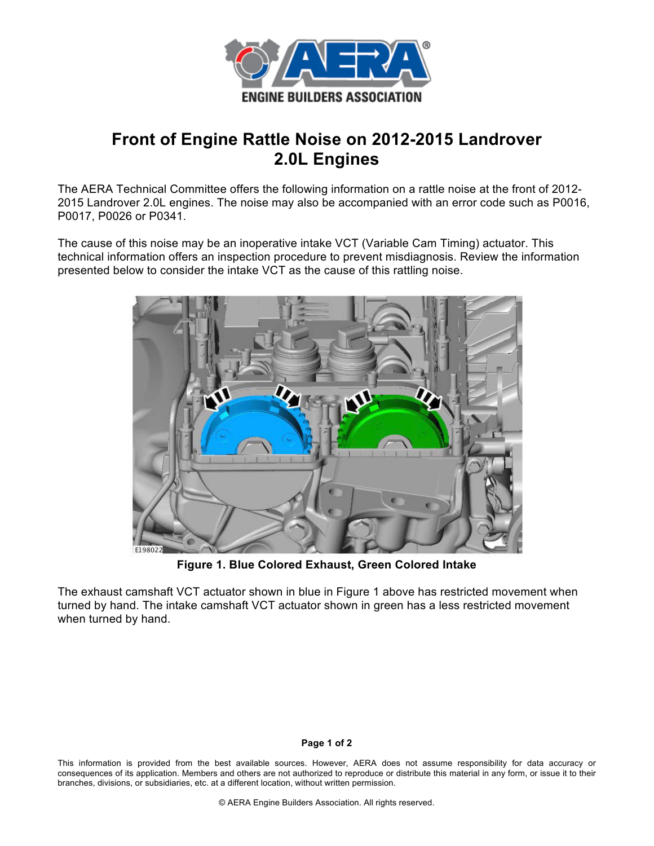

## **Front of Engine Rattle Noise on 2012-2015 Landrover 2.0L Engines**

The AERA Technical Committee offers the following information on a rattle noise at the front of 2012- 2015 Landrover 2.0L engines. The noise may also be accompanied with an error code such as P0016, P0017, P0026 or P0341.

The cause of this noise may be an inoperative intake VCT (Variable Cam Timing) actuator. This technical information offers an inspection procedure to prevent misdiagnosis. Review the information presented below to consider the intake VCT as the cause of this rattling noise.



**Figure 1. Blue Colored Exhaust, Green Colored Intake**

The exhaust camshaft VCT actuator shown in blue in Figure 1 above has restricted movement when turned by hand. The intake camshaft VCT actuator shown in green has a less restricted movement when turned by hand.

## **Page 1 of 2**

This information is provided from the best available sources. However, AERA does not assume responsibility for data accuracy or consequences of its application. Members and others are not authorized to reproduce or distribute this material in any form, or issue it to their branches, divisions, or subsidiaries, etc. at a different location, without written permission.